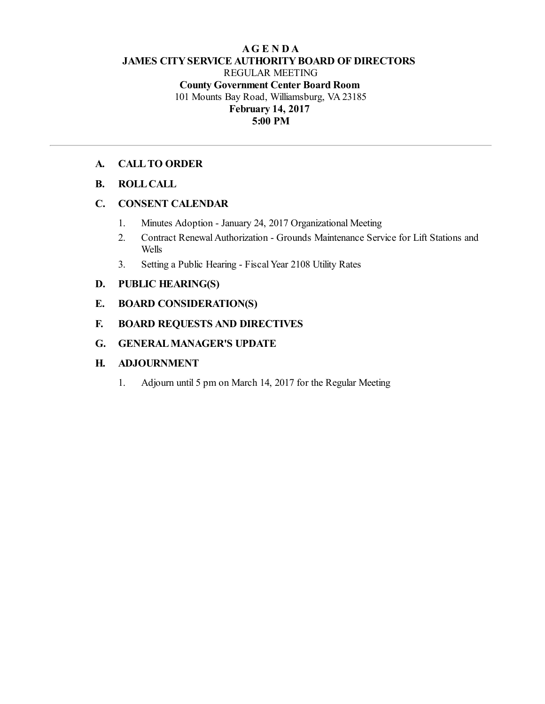## **AG E N D A JAMES CITYSERVICE AUTHORITYBOARD OF DIRECTORS** REGULAR MEETING **County Government Center Board Room** 101 Mounts Bay Road, Williamsburg, VA 23185 **February 14, 2017 5:00 PM**

## **A. CALLTO ORDER**

### **B. ROLLCALL**

### **C. CONSENT CALENDAR**

- 1. Minutes Adoption January 24, 2017 Organizational Meeting
- 2. Contract Renewal Authorization Grounds Maintenance Service for Lift Stations and Wells
- 3. Setting a Public Hearing Fiscal Year 2108 Utility Rates

## **D. PUBLIC HEARING(S)**

### **E. BOARD CONSIDERATION(S)**

## **F. BOARD REQUESTS AND DIRECTIVES**

## **G. GENERALMANAGER'S UPDATE**

## **H. ADJOURNMENT**

1. Adjourn until 5 pm on March 14, 2017 for the Regular Meeting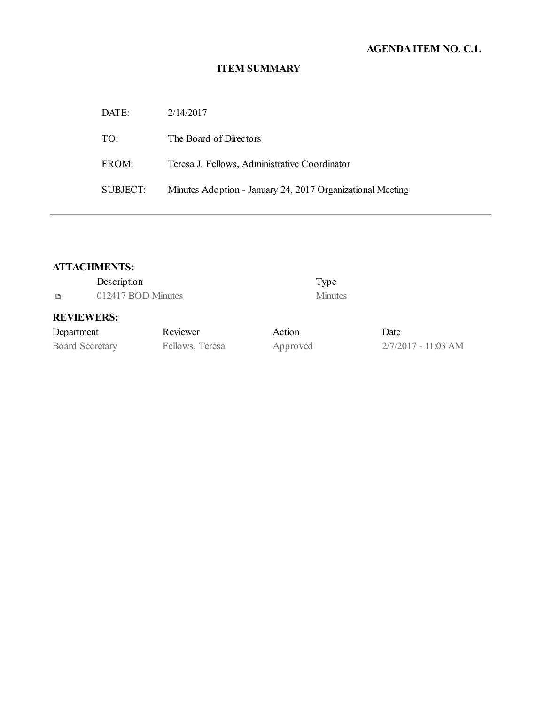# **AGENDAITEM NO. C.1.**

# **ITEM SUMMARY**

| DATE:           | 2/14/2017                                                  |
|-----------------|------------------------------------------------------------|
| TO:             | The Board of Directors                                     |
| FROM:           | Teresa J. Fellows, Administrative Coordinator              |
| <b>SUBJECT:</b> | Minutes Adoption - January 24, 2017 Organizational Meeting |

# **ATTACHMENTS:**

|                        | Description        |                 |          | Type           |                       |
|------------------------|--------------------|-----------------|----------|----------------|-----------------------|
| D                      | 012417 BOD Minutes |                 |          | <b>Minutes</b> |                       |
| <b>REVIEWERS:</b>      |                    |                 |          |                |                       |
| Department             |                    | Reviewer        | Action   |                | Date                  |
| <b>Board Secretary</b> |                    | Fellows, Teresa | Approved |                | $2/7/2017 - 11:03$ AM |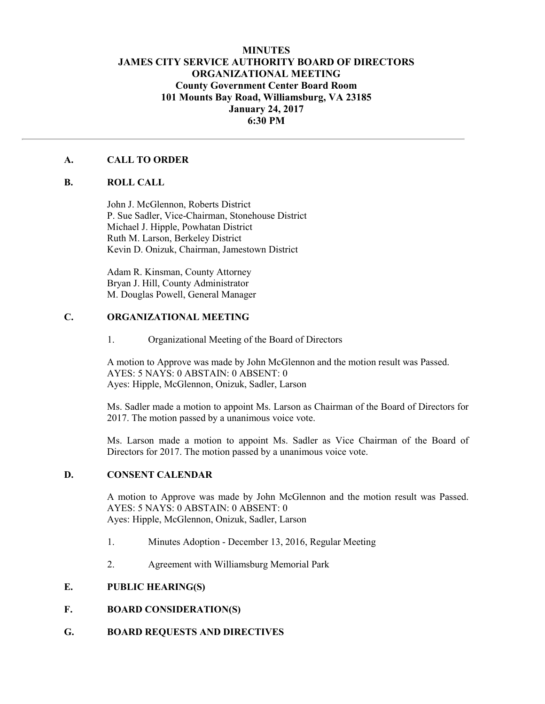### **MINUTES JAMES CITY SERVICE AUTHORITY BOARD OF DIRECTORS ORGANIZATIONAL MEETING County Government Center Board Room 101 Mounts Bay Road, Williamsburg, VA 23185 January 24, 2017 6:30 PM**

#### **A. CALL TO ORDER**

#### **B. ROLL CALL**

John J. McGlennon, Roberts District P. Sue Sadler, Vice-Chairman, Stonehouse District Michael J. Hipple, Powhatan District Ruth M. Larson, Berkeley District Kevin D. Onizuk, Chairman, Jamestown District

Adam R. Kinsman, County Attorney Bryan J. Hill, County Administrator M. Douglas Powell, General Manager

#### **C. ORGANIZATIONAL MEETING**

#### 1. Organizational Meeting of the Board of Directors

A motion to Approve was made by John McGlennon and the motion result was Passed. AYES: 5 NAYS: 0 ABSTAIN: 0 ABSENT: 0 Ayes: Hipple, McGlennon, Onizuk, Sadler, Larson

Ms. Sadler made a motion to appoint Ms. Larson as Chairman of the Board of Directors for 2017. The motion passed by a unanimous voice vote.

Ms. Larson made a motion to appoint Ms. Sadler as Vice Chairman of the Board of Directors for 2017. The motion passed by a unanimous voice vote.

#### **D. CONSENT CALENDAR**

A motion to Approve was made by John McGlennon and the motion result was Passed. AYES: 5 NAYS: 0 ABSTAIN: 0 ABSENT: 0 Ayes: Hipple, McGlennon, Onizuk, Sadler, Larson

- 1. Minutes Adoption December 13, 2016, Regular Meeting
- 2. Agreement with Williamsburg Memorial Park

#### **E. PUBLIC HEARING(S)**

#### **F. BOARD CONSIDERATION(S)**

**G. BOARD REQUESTS AND DIRECTIVES**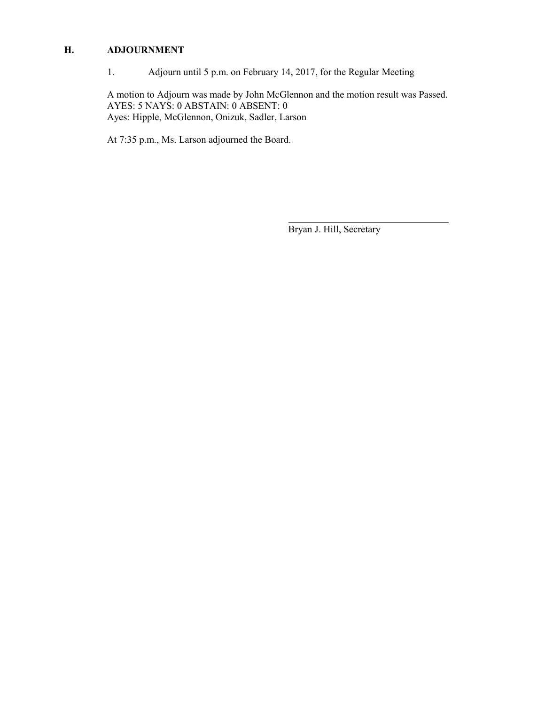## **H. ADJOURNMENT**

1. Adjourn until 5 p.m. on February 14, 2017, for the Regular Meeting

A motion to Adjourn was made by John McGlennon and the motion result was Passed. AYES: 5 NAYS: 0 ABSTAIN: 0 ABSENT: 0 Ayes: Hipple, McGlennon, Onizuk, Sadler, Larson

At 7:35 p.m., Ms. Larson adjourned the Board.

Bryan J. Hill, Secretary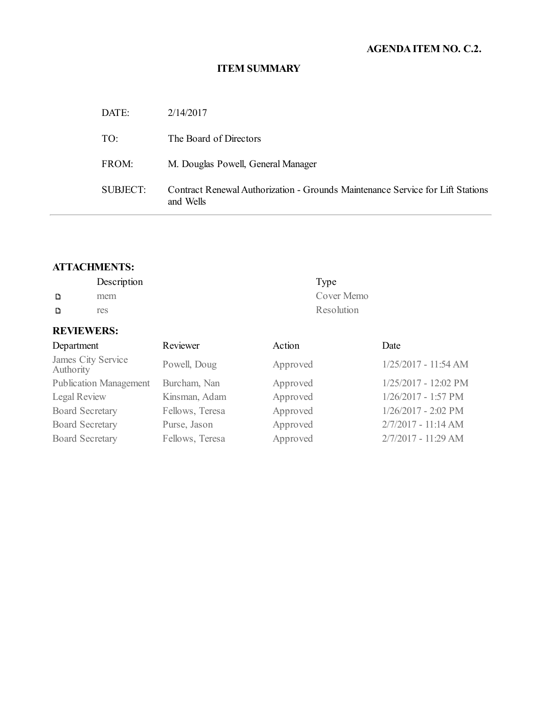# **AGENDAITEM NO. C.2.**

# **ITEM SUMMARY**

| DATE:    | 2/14/2017                                                                                   |
|----------|---------------------------------------------------------------------------------------------|
| TO:      | The Board of Directors                                                                      |
| FROM:    | M. Douglas Powell, General Manager                                                          |
| SUBJECT: | Contract Renewal Authorization - Grounds Maintenance Service for Lift Stations<br>and Wells |

# **ATTACHMENTS:**

|   | Description | Type       |
|---|-------------|------------|
| D | mem         | Cover Memo |
| D | res         | Resolution |

# **REVIEWERS:**

| Department                      | Reviewer        | Action   | Date                  |
|---------------------------------|-----------------|----------|-----------------------|
| James City Service<br>Authority | Powell, Doug    | Approved | 1/25/2017 - 11:54 AM  |
| <b>Publication Management</b>   | Burcham, Nan    | Approved | 1/25/2017 - 12:02 PM  |
| Legal Review                    | Kinsman, Adam   | Approved | 1/26/2017 - 1:57 PM   |
| <b>Board Secretary</b>          | Fellows, Teresa | Approved | $1/26/2017 - 2:02$ PM |
| <b>Board Secretary</b>          | Purse, Jason    | Approved | 2/7/2017 - 11:14 AM   |
| <b>Board Secretary</b>          | Fellows, Teresa | Approved | 2/7/2017 - 11:29 AM   |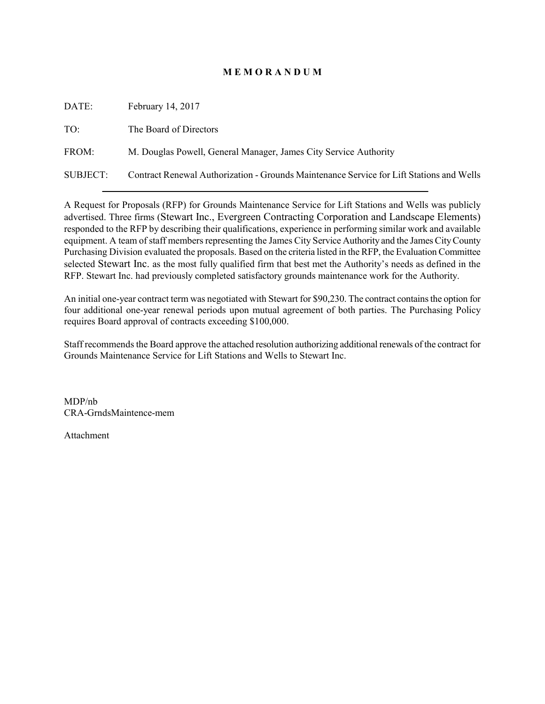### **M E M O R A N D U M**

| DATE:    | February 14, 2017                                                                        |
|----------|------------------------------------------------------------------------------------------|
| TO:      | The Board of Directors                                                                   |
| FROM:    | M. Douglas Powell, General Manager, James City Service Authority                         |
| SUBJECT: | Contract Renewal Authorization - Grounds Maintenance Service for Lift Stations and Wells |

A Request for Proposals (RFP) for Grounds Maintenance Service for Lift Stations and Wells was publicly advertised. Three firms (Stewart Inc., Evergreen Contracting Corporation and Landscape Elements) responded to the RFP by describing their qualifications, experience in performing similar work and available equipment. A team of staff members representing the James City Service Authority and the James City County Purchasing Division evaluated the proposals. Based on the criteria listed in the RFP, the Evaluation Committee selected Stewart Inc. as the most fully qualified firm that best met the Authority's needs as defined in the RFP. Stewart Inc. had previously completed satisfactory grounds maintenance work for the Authority.

An initial one-year contract term was negotiated with Stewart for \$90,230. The contract contains the option for four additional one-year renewal periods upon mutual agreement of both parties. The Purchasing Policy requires Board approval of contracts exceeding \$100,000.

Staff recommends the Board approve the attached resolution authorizing additional renewals of the contract for Grounds Maintenance Service for Lift Stations and Wells to Stewart Inc.

MDP/nb CRA-GrndsMaintence-mem

Attachment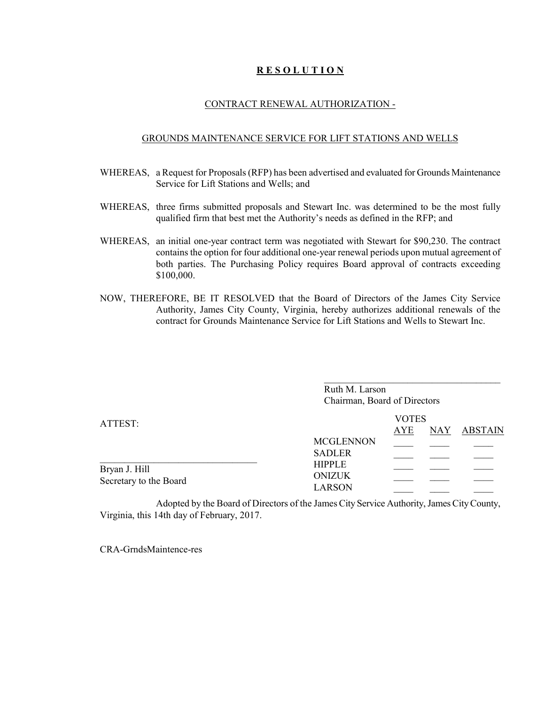### **R E S O L U T I O N**

#### CONTRACT RENEWAL AUTHORIZATION -

#### GROUNDS MAINTENANCE SERVICE FOR LIFT STATIONS AND WELLS

- WHEREAS, a Request for Proposals (RFP) has been advertised and evaluated for Grounds Maintenance Service for Lift Stations and Wells; and
- WHEREAS, three firms submitted proposals and Stewart Inc. was determined to be the most fully qualified firm that best met the Authority's needs as defined in the RFP; and
- WHEREAS, an initial one-year contract term was negotiated with Stewart for \$90,230. The contract contains the option for four additional one-year renewal periods upon mutual agreement of both parties. The Purchasing Policy requires Board approval of contracts exceeding \$100,000.
- NOW, THEREFORE, BE IT RESOLVED that the Board of Directors of the James City Service Authority, James City County, Virginia, hereby authorizes additional renewals of the contract for Grounds Maintenance Service for Lift Stations and Wells to Stewart Inc.

|                                         | Ruth M. Larson<br>Chairman, Board of Directors  |              |     |                |
|-----------------------------------------|-------------------------------------------------|--------------|-----|----------------|
| ATTEST:                                 |                                                 | <b>VOTES</b> |     |                |
|                                         |                                                 | AYE          | NAY | <b>ABSTAIN</b> |
|                                         | <b>MCGLENNON</b><br><b>SADLER</b>               |              |     |                |
| Bryan J. Hill<br>Secretary to the Board | <b>HIPPLE</b><br><b>ONIZUK</b><br><b>LARSON</b> |              |     |                |
|                                         |                                                 |              |     |                |

\_\_\_\_\_\_\_\_\_\_\_\_\_\_\_\_\_\_\_\_\_\_\_\_\_\_\_\_\_\_\_\_\_\_\_\_

Adopted by the Board of Directors of the James City Service Authority, James City County, Virginia, this 14th day of February, 2017.

CRA-GrndsMaintence-res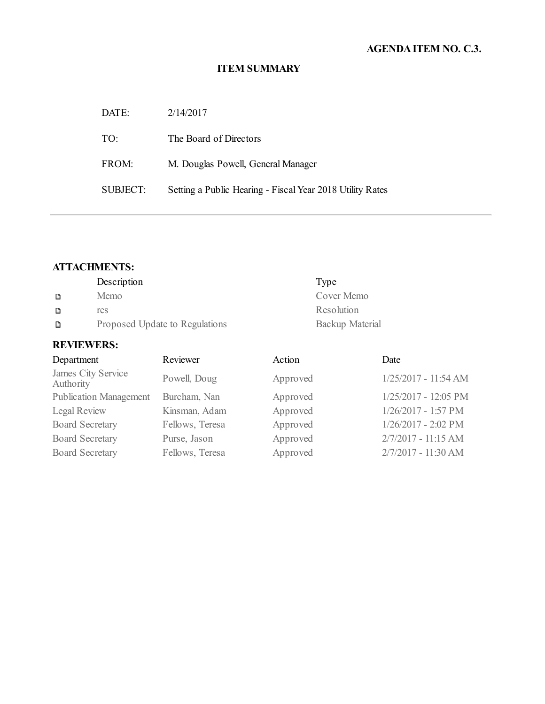# **AGENDAITEM NO. C.3.**

## **ITEM SUMMARY**

| DATE:           | 2/14/2017                                                 |
|-----------------|-----------------------------------------------------------|
| TO:             | The Board of Directors                                    |
| FROM:           | M. Douglas Powell, General Manager                        |
| <b>SUBJECT:</b> | Setting a Public Hearing - Fiscal Year 2018 Utility Rates |

## **ATTACHMENTS:**

|   | Description                    | Type            |
|---|--------------------------------|-----------------|
| D | Memo                           | Cover Memo      |
| Đ | res                            | Resolution      |
| D | Proposed Update to Regulations | Backup Material |

## **REVIEWERS:**

| Department                      | Reviewer        | Action   | Date                  |
|---------------------------------|-----------------|----------|-----------------------|
| James City Service<br>Authority | Powell, Doug    | Approved | 1/25/2017 - 11:54 AM  |
| <b>Publication Management</b>   | Burcham, Nan    | Approved | 1/25/2017 - 12:05 PM  |
| Legal Review                    | Kinsman, Adam   | Approved | 1/26/2017 - 1:57 PM   |
| <b>Board Secretary</b>          | Fellows, Teresa | Approved | $1/26/2017 - 2:02$ PM |
| <b>Board Secretary</b>          | Purse, Jason    | Approved | 2/7/2017 - 11:15 AM   |
| <b>Board Secretary</b>          | Fellows, Teresa | Approved | 2/7/2017 - 11:30 AM   |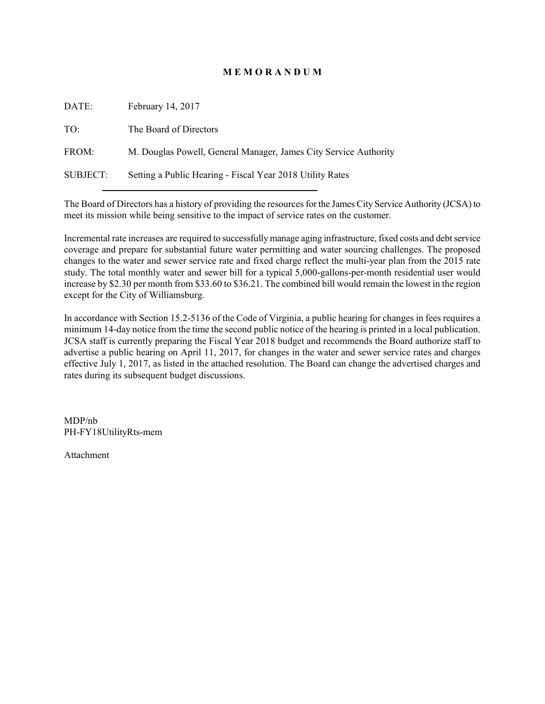### **M E M O R A N D U M**

| DATE:           | February 14, 2017                                                |
|-----------------|------------------------------------------------------------------|
| TO:             | The Board of Directors                                           |
| FROM:           | M. Douglas Powell, General Manager, James City Service Authority |
| <b>SUBJECT:</b> | Setting a Public Hearing - Fiscal Year 2018 Utility Rates        |
|                 |                                                                  |

The Board of Directors has a history of providing the resources for the James City Service Authority (JCSA) to meet its mission while being sensitive to the impact of service rates on the customer.

Incremental rate increases are required to successfully manage aging infrastructure, fixed costs and debt service coverage and prepare for substantial future water permitting and water sourcing challenges. The proposed changes to the water and sewer service rate and fixed charge reflect the multi-year plan from the 2015 rate study. The total monthly water and sewer bill for a typical 5,000-gallons-per-month residential user would increase by \$2.30 per month from \$33.60 to \$36.21. The combined bill would remain the lowest in the region except for the City of Williamsburg.

In accordance with Section 15.2-5136 of the Code of Virginia, a public hearing for changes in fees requires a minimum 14-day notice from the time the second public notice of the hearing is printed in a local publication. JCSA staff is currently preparing the Fiscal Year 2018 budget and recommends the Board authorize staff to advertise a public hearing on April 11, 2017, for changes in the water and sewer service rates and charges effective July 1, 2017, as listed in the attached resolution. The Board can change the advertised charges and rates during its subsequent budget discussions.

MDP/nb PH-FY18UtilityRts-mem

Attachment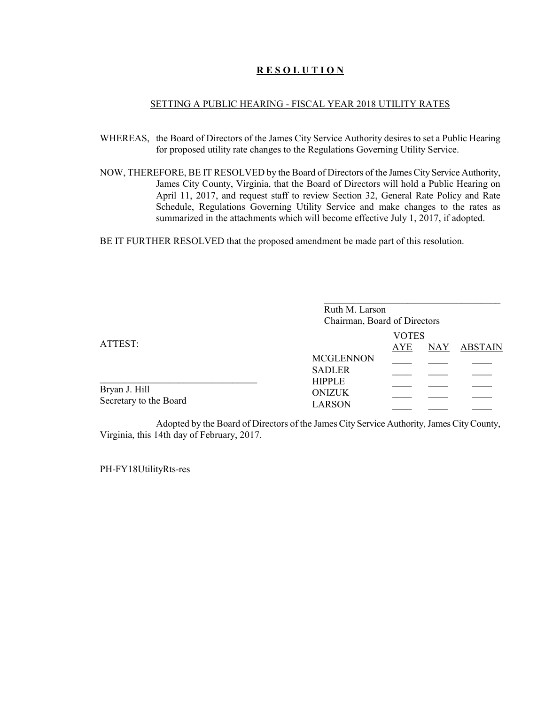### **R E S O L U T I O N**

#### SETTING A PUBLIC HEARING - FISCAL YEAR 2018 UTILITY RATES

- WHEREAS, the Board of Directors of the James City Service Authority desires to set a Public Hearing for proposed utility rate changes to the Regulations Governing Utility Service.
- NOW, THEREFORE, BE IT RESOLVED by the Board of Directors of the James City Service Authority, James City County, Virginia, that the Board of Directors will hold a Public Hearing on April 11, 2017, and request staff to review Section 32, General Rate Policy and Rate Schedule, Regulations Governing Utility Service and make changes to the rates as summarized in the attachments which will become effective July 1, 2017, if adopted.

BE IT FURTHER RESOLVED that the proposed amendment be made part of this resolution.

|                                         | Ruth M. Larson<br>Chairman, Board of Directors  |  |  |  |
|-----------------------------------------|-------------------------------------------------|--|--|--|
| ATTEST:                                 | <b>VOTES</b><br><b>ABSTAIN</b><br>AYE<br>NAY    |  |  |  |
|                                         | <b>MCGLENNON</b><br><b>SADLER</b>               |  |  |  |
| Bryan J. Hill<br>Secretary to the Board | <b>HIPPLE</b><br><b>ONIZUK</b><br><b>LARSON</b> |  |  |  |

Adopted by the Board of Directors of the James City Service Authority, James City County, Virginia, this 14th day of February, 2017.

PH-FY18UtilityRts-res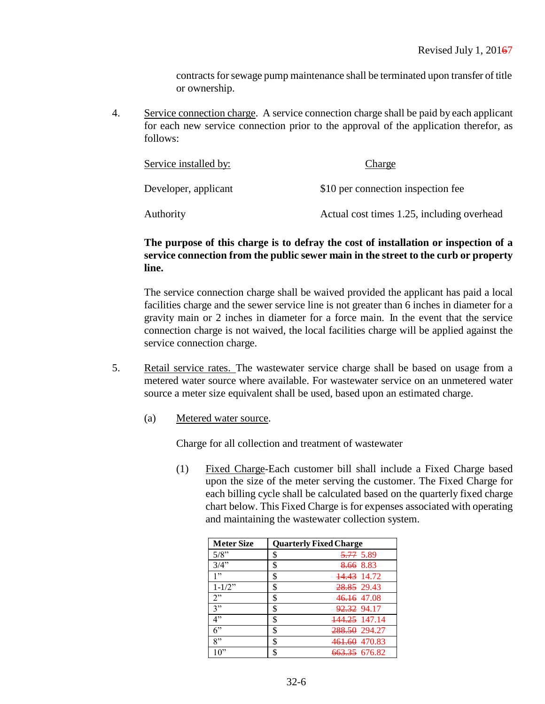contracts for sewage pump maintenance shall be terminated upon transfer of title or ownership.

4. Service connection charge. A service connection charge shall be paid by each applicant for each new service connection prior to the approval of the application therefor, as follows:

| Service installed by: | Charge                                     |
|-----------------------|--------------------------------------------|
| Developer, applicant  | \$10 per connection inspection fee         |
| Authority             | Actual cost times 1.25, including overhead |

## **The purpose of this charge is to defray the cost of installation or inspection of a service connection from the public sewer main in the street to the curb or property line.**

The service connection charge shall be waived provided the applicant has paid a local facilities charge and the sewer service line is not greater than 6 inches in diameter for a gravity main or 2 inches in diameter for a force main. In the event that the service connection charge is not waived, the local facilities charge will be applied against the service connection charge.

- 5. Retail service rates. The wastewater service charge shall be based on usage from a metered water source where available. For wastewater service on an unmetered water source a meter size equivalent shall be used, based upon an estimated charge.
	- (a) Metered water source.

Charge for all collection and treatment of wastewater

(1) Fixed Charge-Each customer bill shall include a Fixed Charge based upon the size of the meter serving the customer. The Fixed Charge for each billing cycle shall be calculated based on the quarterly fixed charge chart below. This Fixed Charge is for expenses associated with operating and maintaining the wastewater collection system.

| <b>Meter Size</b> | <b>Quarterly Fixed Charge</b>  |
|-------------------|--------------------------------|
| 5/8"              | \$<br><del>5.77</del> 5.89     |
| 3/4"              | \$<br><del>8.66</del> 8.83     |
| 1"                | \$<br><del>14.43</del> 14.72   |
| $1 - 1/2$ "       | \$<br>28.85 29.43              |
| 2"                | \$<br><del>46.16</del> 47.08   |
| 3"                | \$<br><del>92.32</del> 94.17   |
| 4"                | \$<br><del>144.25</del> 147.14 |
| 6"                | \$<br><del>288.50</del> 294.27 |
| 8"                | \$<br>461.60 470.83            |
| 10"               | \$<br><del>663.35</del> 676.82 |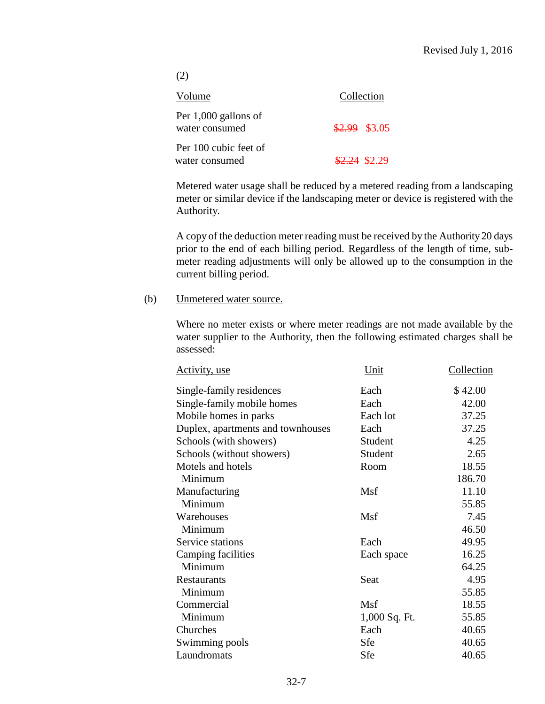| (2)                                     |               |
|-----------------------------------------|---------------|
| Volume                                  | Collection    |
| Per 1,000 gallons of<br>water consumed  | \$2.99 \$3.05 |
| Per 100 cubic feet of<br>water consumed | \$2.24 \$2.29 |

Metered water usage shall be reduced by a metered reading from a landscaping meter or similar device if the landscaping meter or device is registered with the Authority.

A copy of the deduction meter reading must be received by the Authority20 days prior to the end of each billing period. Regardless of the length of time, submeter reading adjustments will only be allowed up to the consumption in the current billing period.

## (b) Unmetered water source.

Where no meter exists or where meter readings are not made available by the water supplier to the Authority, then the following estimated charges shall be assessed:

| Activity, use                     | Unit          | Collection |
|-----------------------------------|---------------|------------|
| Single-family residences          | Each          | \$42.00    |
| Single-family mobile homes        | Each          | 42.00      |
| Mobile homes in parks             | Each lot      | 37.25      |
| Duplex, apartments and townhouses | Each          | 37.25      |
| Schools (with showers)            | Student       | 4.25       |
| Schools (without showers)         | Student       | 2.65       |
| Motels and hotels                 | Room          | 18.55      |
| Minimum                           |               | 186.70     |
| Manufacturing                     | Msf           | 11.10      |
| Minimum                           |               | 55.85      |
| Warehouses                        | Msf           | 7.45       |
| Minimum                           |               | 46.50      |
| Service stations                  | Each          | 49.95      |
| <b>Camping facilities</b>         | Each space    | 16.25      |
| Minimum                           |               | 64.25      |
| Restaurants                       | Seat          | 4.95       |
| Minimum                           |               | 55.85      |
| Commercial                        | Msf           | 18.55      |
| Minimum                           | 1,000 Sq. Ft. | 55.85      |
| Churches                          | Each          | 40.65      |
| Swimming pools                    | Sfe           | 40.65      |
| Laundromats                       | Sfe           | 40.65      |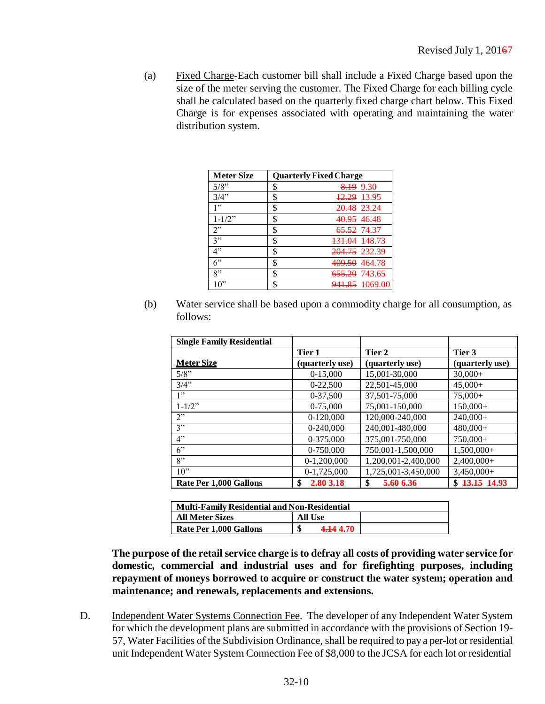(a) Fixed Charge-Each customer bill shall include a Fixed Charge based upon the size of the meter serving the customer. The Fixed Charge for each billing cycle shall be calculated based on the quarterly fixed charge chart below. This Fixed Charge is for expenses associated with operating and maintaining the water distribution system.

| <b>Meter Size</b> | <b>Quarterly Fixed Charge</b>   |
|-------------------|---------------------------------|
| 5/8"              | \$<br>9.30<br>8.19              |
| 3/4"              | \$<br><del>12.29</del> 13.95    |
| 1"                | \$<br><del>20.48</del> 23.24    |
| $1 - 1/2$ "       | \$<br><del>40.95</del> 46.48    |
| 2"                | \$<br><del>65.52</del> 74.37    |
| 3"                | \$<br><del>131.04</del> 148.73  |
| 4"                | \$<br>204.75 232.39             |
| $6$ "             | \$<br><del>409.50</del> 464.78  |
| 8"                | \$<br><del>655.20</del> 743.65  |
| 10"               | \$<br><del>941.85</del> 1069.00 |

(b) Water service shall be based upon a commodity charge for all consumption, as follows:

| <b>Single Family Residential</b> |                 |                     |                 |
|----------------------------------|-----------------|---------------------|-----------------|
|                                  | Tier 1          | Tier 2              | Tier 3          |
| <b>Meter Size</b>                | (quarterly use) | (quarterly use)     | (quarterly use) |
| 5/8"                             | $0-15,000$      | 15,001-30,000       | $30,000+$       |
| 3/4"                             | $0-22.500$      | 22,501-45,000       | $45,000+$       |
| 1"                               | 0-37,500        | 37,501-75,000       | $75.000+$       |
| $1 - 1/2$ "                      | 0-75.000        | 75,001-150,000      | $150,000+$      |
| 2"                               | $0-120,000$     | 120,000-240,000     | $240,000+$      |
| 3"                               | 0-240,000       | 240,001-480,000     | $480,000+$      |
| 4"                               | 0-375,000       | 375,001-750,000     | $750,000+$      |
| $6$ "                            | 0-750,000       | 750,001-1,500,000   | $1,500,000+$    |
| 8"                               | $0-1,200,000$   | 1,200,001-2,400,000 | $2,400,000+$    |
| 10"                              | $0-1,725,000$   | 1,725,001-3,450,000 | $3,450,000+$    |
| Rate Per 1.000 Gallons           | 2.80 3.18<br>\$ | 5.60 6.36<br>\$     | $$13.15$ 14.93  |

| <b>Multi-Family Residential and Non-Residential</b> |                |  |
|-----------------------------------------------------|----------------|--|
| <b>All Meter Sizes</b>                              | <b>All Use</b> |  |
| Rate Per 1,000 Gallons                              | Φ<br>4.144.70  |  |

**The purpose of the retail service charge is to defray all costs of providing water service for domestic, commercial and industrial uses and for firefighting purposes, including repayment of moneys borrowed to acquire or construct the water system; operation and maintenance; and renewals, replacements and extensions.**

D. Independent Water Systems Connection Fee. The developer of any Independent Water System for which the development plans are submitted in accordance with the provisions of Section 19- 57, Water Facilities of the Subdivision Ordinance, shall be required to pay a per-lot or residential unit Independent Water System Connection Fee of \$8,000 to the JCSA for each lot or residential